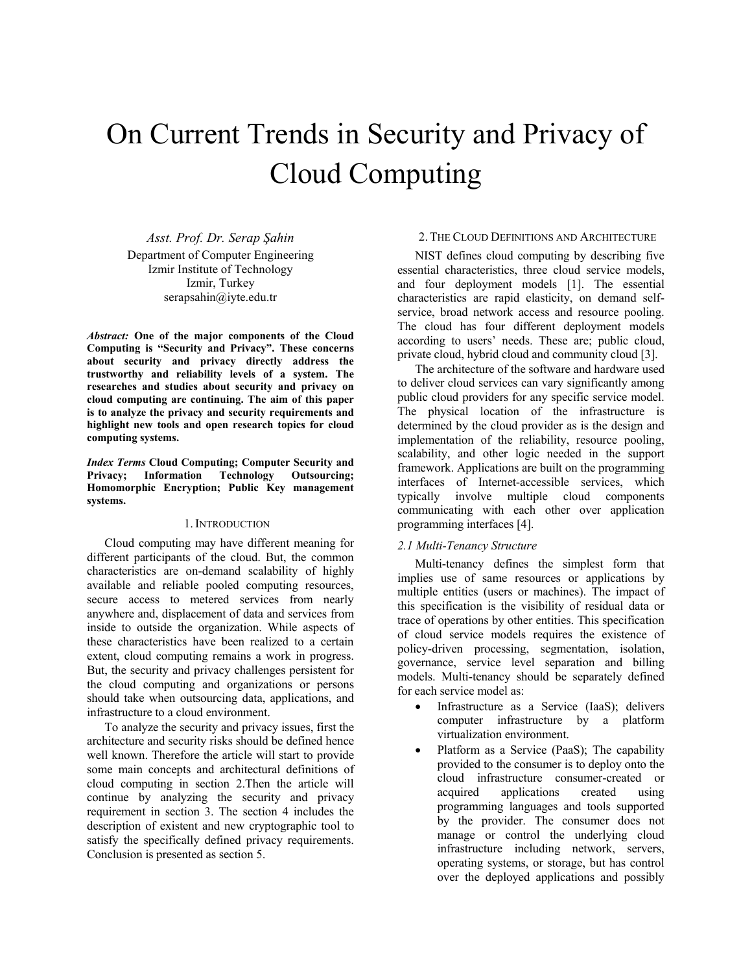# On Current Trends in Security and Privacy of Cloud Computing

*Asst. Prof. Dr. Serap Şahin* Department of Computer Engineering Izmir Institute of Technology Izmir, Turkey serapsahin@iyte.edu.tr

*Abstract:* **One of the major components of the Cloud Computing is "Security and Privacy". These concerns about security and privacy directly address the trustworthy and reliability levels of a system. The researches and studies about security and privacy on cloud computing are continuing. The aim of this paper is to analyze the privacy and security requirements and highlight new tools and open research topics for cloud computing systems.** 

*Index Terms* **Cloud Computing; Computer Security and Privacy; Information Technology Outsourcing; Homomorphic Encryption; Public Key management systems.** 

#### 1.INTRODUCTION

Cloud computing may have different meaning for different participants of the cloud. But, the common characteristics are on-demand scalability of highly available and reliable pooled computing resources, secure access to metered services from nearly anywhere and, displacement of data and services from inside to outside the organization. While aspects of these characteristics have been realized to a certain extent, cloud computing remains a work in progress. But, the security and privacy challenges persistent for the cloud computing and organizations or persons should take when outsourcing data, applications, and infrastructure to a cloud environment.

To analyze the security and privacy issues, first the architecture and security risks should be defined hence well known. Therefore the article will start to provide some main concepts and architectural definitions of cloud computing in section 2.Then the article will continue by analyzing the security and privacy requirement in section 3. The section 4 includes the description of existent and new cryptographic tool to satisfy the specifically defined privacy requirements. Conclusion is presented as section 5.

#### 2.THE CLOUD DEFINITIONS AND ARCHITECTURE

NIST defines cloud computing by describing five essential characteristics, three cloud service models, and four deployment models [1]. The essential characteristics are rapid elasticity, on demand selfservice, broad network access and resource pooling. The cloud has four different deployment models according to users' needs. These are; public cloud, private cloud, hybrid cloud and community cloud [3].

The architecture of the software and hardware used to deliver cloud services can vary significantly among public cloud providers for any specific service model. The physical location of the infrastructure is determined by the cloud provider as is the design and implementation of the reliability, resource pooling, scalability, and other logic needed in the support framework. Applications are built on the programming interfaces of Internet-accessible services, which typically involve multiple cloud components communicating with each other over application programming interfaces [4].

## *2.1 Multi-Tenancy Structure*

Multi-tenancy defines the simplest form that implies use of same resources or applications by multiple entities (users or machines). The impact of this specification is the visibility of residual data or trace of operations by other entities. This specification of cloud service models requires the existence of policy-driven processing, segmentation, isolation, governance, service level separation and billing models. Multi-tenancy should be separately defined for each service model as:

- x Infrastructure as a Service (IaaS); delivers computer infrastructure by a platform virtualization environment.
- Platform as a Service (PaaS); The capability provided to the consumer is to deploy onto the cloud infrastructure consumer-created or acquired applications created using programming languages and tools supported by the provider. The consumer does not manage or control the underlying cloud infrastructure including network, servers, operating systems, or storage, but has control over the deployed applications and possibly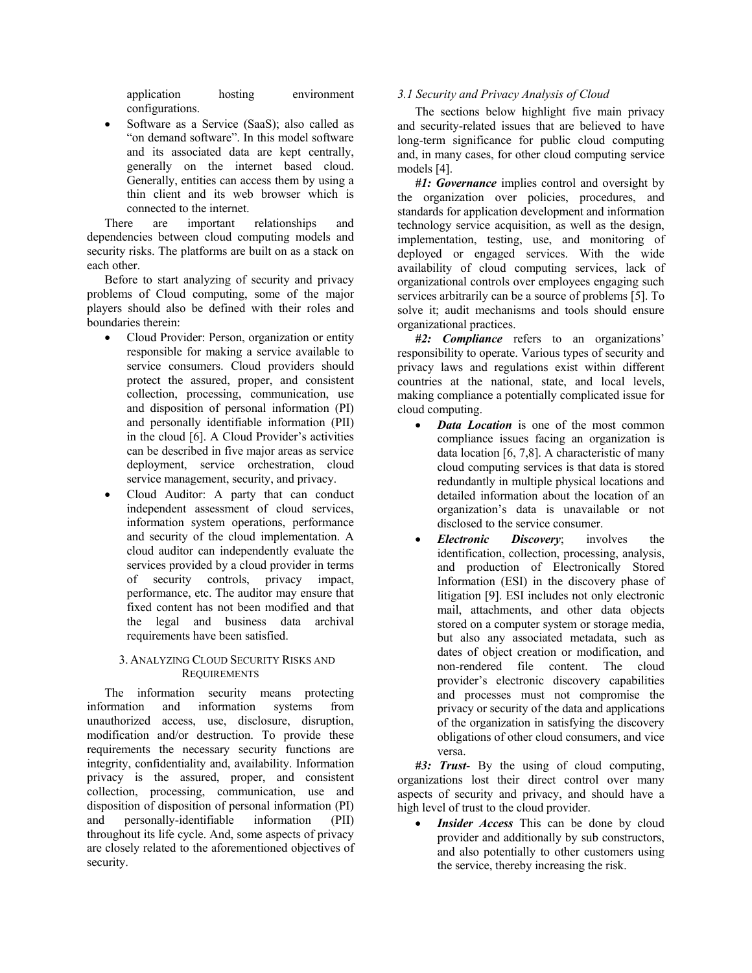application hosting environment configurations.

• Software as a Service (SaaS); also called as "on demand software". In this model software and its associated data are kept centrally, generally on the internet based cloud. Generally, entities can access them by using a thin client and its web browser which is connected to the internet.

There are important relationships and dependencies between cloud computing models and security risks. The platforms are built on as a stack on each other.

Before to start analyzing of security and privacy problems of Cloud computing, some of the major players should also be defined with their roles and boundaries therein:

- Cloud Provider: Person, organization or entity responsible for making a service available to service consumers. Cloud providers should protect the assured, proper, and consistent collection, processing, communication, use and disposition of personal information (PI) and personally identifiable information (PII) in the cloud [6]. A Cloud Provider's activities can be described in five major areas as service deployment, service orchestration, cloud service management, security, and privacy.
- x Cloud Auditor: A party that can conduct independent assessment of cloud services, information system operations, performance and security of the cloud implementation. A cloud auditor can independently evaluate the services provided by a cloud provider in terms of security controls, privacy impact, performance, etc. The auditor may ensure that fixed content has not been modified and that the legal and business data archival requirements have been satisfied.

## 3. ANALYZING CLOUD SECURITY RISKS AND **REQUIREMENTS**

The information security means protecting information and information systems from unauthorized access, use, disclosure, disruption, modification and/or destruction. To provide these requirements the necessary security functions are integrity, confidentiality and, availability. Information privacy is the assured, proper, and consistent collection, processing, communication, use and disposition of disposition of personal information (PI) and personally-identifiable information (PII) throughout its life cycle. And, some aspects of privacy are closely related to the aforementioned objectives of security.

# *3.1 Security and Privacy Analysis of Cloud*

The sections below highlight five main privacy and security-related issues that are believed to have long-term significance for public cloud computing and, in many cases, for other cloud computing service models [4].

*#1: Governance* implies control and oversight by the organization over policies, procedures, and standards for application development and information technology service acquisition, as well as the design, implementation, testing, use, and monitoring of deployed or engaged services. With the wide availability of cloud computing services, lack of organizational controls over employees engaging such services arbitrarily can be a source of problems [5]. To solve it; audit mechanisms and tools should ensure organizational practices.

*#2: Compliance* refers to an organizations' responsibility to operate. Various types of security and privacy laws and regulations exist within different countries at the national, state, and local levels, making compliance a potentially complicated issue for cloud computing.

- *Data Location* is one of the most common compliance issues facing an organization is data location [6, 7,8]. A characteristic of many cloud computing services is that data is stored redundantly in multiple physical locations and detailed information about the location of an organization's data is unavailable or not disclosed to the service consumer.
- **•** *Electronic* **Discovery**; involves the identification, collection, processing, analysis, and production of Electronically Stored Information (ESI) in the discovery phase of litigation [9]. ESI includes not only electronic mail, attachments, and other data objects stored on a computer system or storage media, but also any associated metadata, such as dates of object creation or modification, and non-rendered file content. The cloud provider's electronic discovery capabilities and processes must not compromise the privacy or security of the data and applications of the organization in satisfying the discovery obligations of other cloud consumers, and vice versa.

*#3: Trust*- By the using of cloud computing, organizations lost their direct control over many aspects of security and privacy, and should have a high level of trust to the cloud provider.

*Insider Access* This can be done by cloud provider and additionally by sub constructors, and also potentially to other customers using the service, thereby increasing the risk.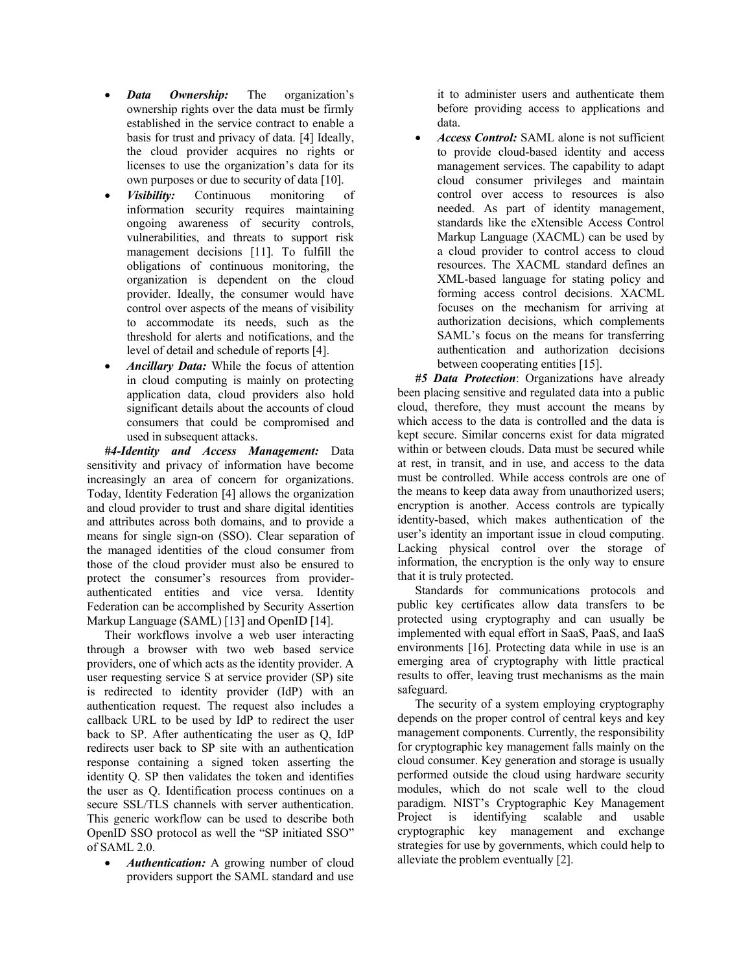- x *Data Ownership:* The organization's ownership rights over the data must be firmly established in the service contract to enable a basis for trust and privacy of data. [4] Ideally, the cloud provider acquires no rights or licenses to use the organization's data for its own purposes or due to security of data [10].
- x *Visibility:* Continuous monitoring of information security requires maintaining ongoing awareness of security controls, vulnerabilities, and threats to support risk management decisions [11]. To fulfill the obligations of continuous monitoring, the organization is dependent on the cloud provider. Ideally, the consumer would have control over aspects of the means of visibility to accommodate its needs, such as the threshold for alerts and notifications, and the level of detail and schedule of reports [4].
- Ancillary Data: While the focus of attention in cloud computing is mainly on protecting application data, cloud providers also hold significant details about the accounts of cloud consumers that could be compromised and used in subsequent attacks.

*#4-Identity and Access Management:* Data sensitivity and privacy of information have become increasingly an area of concern for organizations. Today, Identity Federation [4] allows the organization and cloud provider to trust and share digital identities and attributes across both domains, and to provide a means for single sign-on (SSO). Clear separation of the managed identities of the cloud consumer from those of the cloud provider must also be ensured to protect the consumer's resources from providerauthenticated entities and vice versa. Identity Federation can be accomplished by Security Assertion Markup Language (SAML) [13] and OpenID [14].

Their workflows involve a web user interacting through a browser with two web based service providers, one of which acts as the identity provider. A user requesting service S at service provider (SP) site is redirected to identity provider (IdP) with an authentication request. The request also includes a callback URL to be used by IdP to redirect the user back to SP. After authenticating the user as Q, IdP redirects user back to SP site with an authentication response containing a signed token asserting the identity Q. SP then validates the token and identifies the user as Q. Identification process continues on a secure SSL/TLS channels with server authentication. This generic workflow can be used to describe both OpenID SSO protocol as well the "SP initiated SSO" of SAML 2.0.

• *Authentication:* A growing number of cloud providers support the SAML standard and use

it to administer users and authenticate them before providing access to applications and data.

• *Access Control:* SAML alone is not sufficient to provide cloud-based identity and access management services. The capability to adapt cloud consumer privileges and maintain control over access to resources is also needed. As part of identity management, standards like the eXtensible Access Control Markup Language (XACML) can be used by a cloud provider to control access to cloud resources. The XACML standard defines an XML-based language for stating policy and forming access control decisions. XACML focuses on the mechanism for arriving at authorization decisions, which complements SAML's focus on the means for transferring authentication and authorization decisions between cooperating entities [15].

*#5 Data Protection*: Organizations have already been placing sensitive and regulated data into a public cloud, therefore, they must account the means by which access to the data is controlled and the data is kept secure. Similar concerns exist for data migrated within or between clouds. Data must be secured while at rest, in transit, and in use, and access to the data must be controlled. While access controls are one of the means to keep data away from unauthorized users; encryption is another. Access controls are typically identity-based, which makes authentication of the user's identity an important issue in cloud computing. Lacking physical control over the storage of information, the encryption is the only way to ensure that it is truly protected.

Standards for communications protocols and public key certificates allow data transfers to be protected using cryptography and can usually be implemented with equal effort in SaaS, PaaS, and IaaS environments [16]. Protecting data while in use is an emerging area of cryptography with little practical results to offer, leaving trust mechanisms as the main safeguard.

The security of a system employing cryptography depends on the proper control of central keys and key management components. Currently, the responsibility for cryptographic key management falls mainly on the cloud consumer. Key generation and storage is usually performed outside the cloud using hardware security modules, which do not scale well to the cloud paradigm. NIST's Cryptographic Key Management Project is identifying scalable and usable cryptographic key management and exchange strategies for use by governments, which could help to alleviate the problem eventually [2].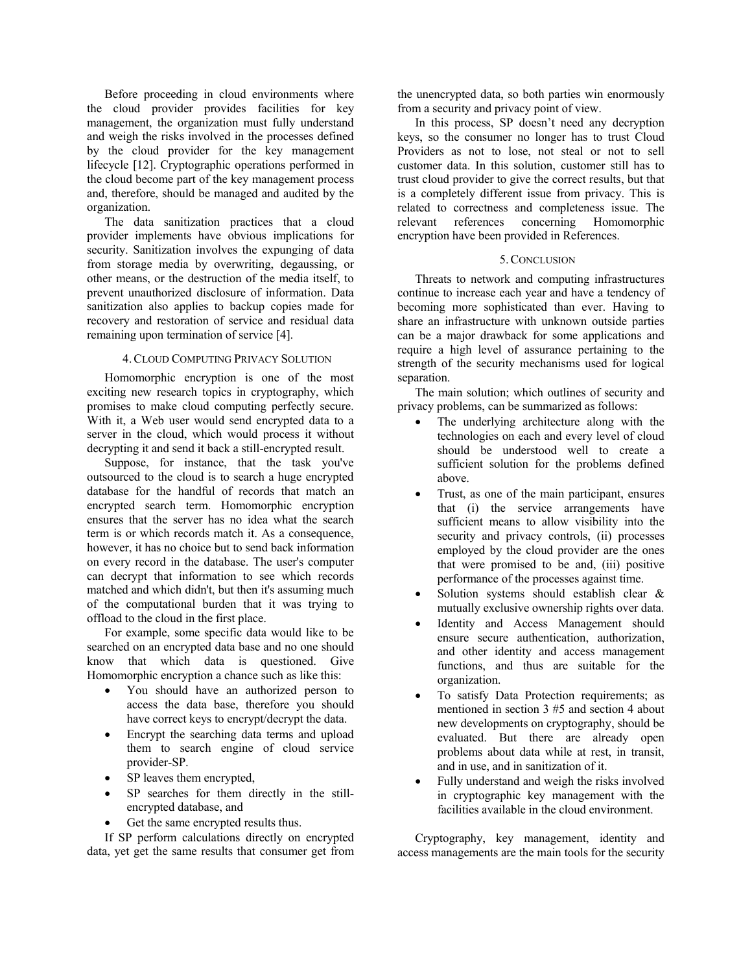Before proceeding in cloud environments where the cloud provider provides facilities for key management, the organization must fully understand and weigh the risks involved in the processes defined by the cloud provider for the key management lifecycle [12]. Cryptographic operations performed in the cloud become part of the key management process and, therefore, should be managed and audited by the organization.

The data sanitization practices that a cloud provider implements have obvious implications for security. Sanitization involves the expunging of data from storage media by overwriting, degaussing, or other means, or the destruction of the media itself, to prevent unauthorized disclosure of information. Data sanitization also applies to backup copies made for recovery and restoration of service and residual data remaining upon termination of service [4].

### 4.CLOUD COMPUTING PRIVACY SOLUTION

Homomorphic encryption is one of the most exciting new research topics in cryptography, which promises to make cloud computing perfectly secure. With it, a Web user would send encrypted data to a server in the cloud, which would process it without decrypting it and send it back a still-encrypted result.

Suppose, for instance, that the task you've outsourced to the cloud is to search a huge encrypted database for the handful of records that match an encrypted search term. Homomorphic encryption ensures that the server has no idea what the search term is or which records match it. As a consequence, however, it has no choice but to send back information on every record in the database. The user's computer can decrypt that information to see which records matched and which didn't, but then it's assuming much of the computational burden that it was trying to offload to the cloud in the first place.

For example, some specific data would like to be searched on an encrypted data base and no one should know that which data is questioned. Give Homomorphic encryption a chance such as like this:

- x You should have an authorized person to access the data base, therefore you should have correct keys to encrypt/decrypt the data.
- Encrypt the searching data terms and upload them to search engine of cloud service provider-SP.
- SP leaves them encrypted,
- SP searches for them directly in the stillencrypted database, and
- Get the same encrypted results thus.

If SP perform calculations directly on encrypted data, yet get the same results that consumer get from the unencrypted data, so both parties win enormously from a security and privacy point of view.

In this process, SP doesn't need any decryption keys, so the consumer no longer has to trust Cloud Providers as not to lose, not steal or not to sell customer data. In this solution, customer still has to trust cloud provider to give the correct results, but that is a completely different issue from privacy. This is related to correctness and completeness issue. The relevant references concerning Homomorphic encryption have been provided in References.

#### 5.CONCLUSION

Threats to network and computing infrastructures continue to increase each year and have a tendency of becoming more sophisticated than ever. Having to share an infrastructure with unknown outside parties can be a major drawback for some applications and require a high level of assurance pertaining to the strength of the security mechanisms used for logical separation.

The main solution; which outlines of security and privacy problems, can be summarized as follows:

- The underlying architecture along with the technologies on each and every level of cloud should be understood well to create a sufficient solution for the problems defined above.
- Trust, as one of the main participant, ensures that (i) the service arrangements have sufficient means to allow visibility into the security and privacy controls, (ii) processes employed by the cloud provider are the ones that were promised to be and, (iii) positive performance of the processes against time.
- Solution systems should establish clear  $\&$ mutually exclusive ownership rights over data.
- Identity and Access Management should ensure secure authentication, authorization, and other identity and access management functions, and thus are suitable for the organization.
- To satisfy Data Protection requirements; as mentioned in section 3 #5 and section 4 about new developments on cryptography, should be evaluated. But there are already open problems about data while at rest, in transit, and in use, and in sanitization of it.
- Fully understand and weigh the risks involved in cryptographic key management with the facilities available in the cloud environment.

Cryptography, key management, identity and access managements are the main tools for the security